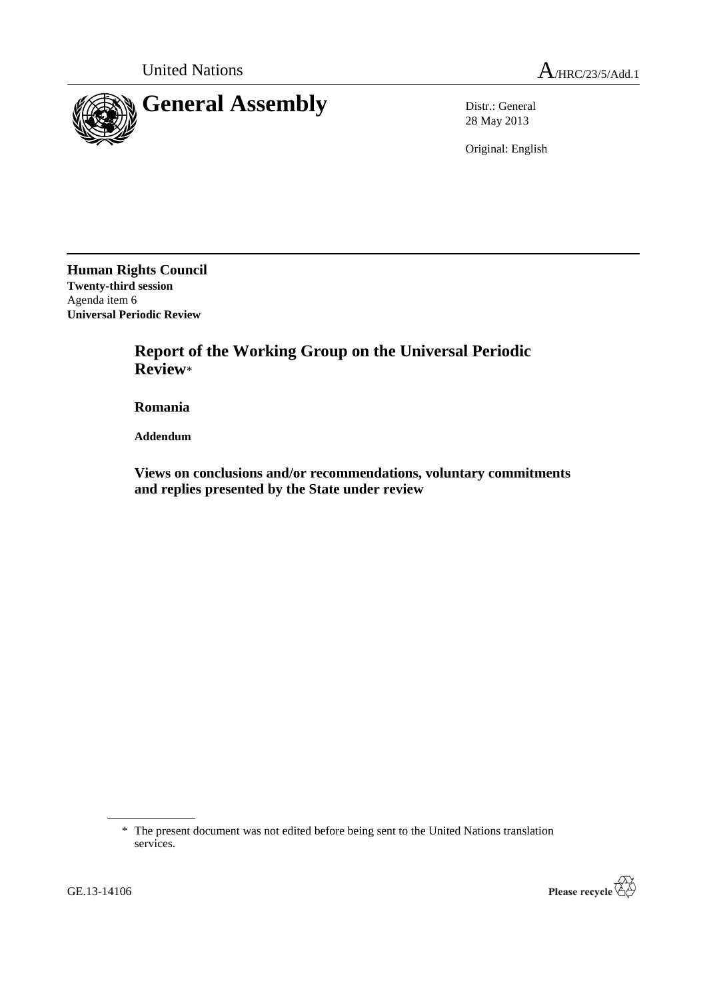

28 May 2013

Original: English

**Human Rights Council Twenty-third session** Agenda item 6 **Universal Periodic Review**

> **Report of the Working Group on the Universal Periodic Review**\*

**Romania**

**Addendum**

**Views on conclusions and/or recommendations, voluntary commitments and replies presented by the State under review**



<sup>\*</sup> The present document was not edited before being sent to the United Nations translation services.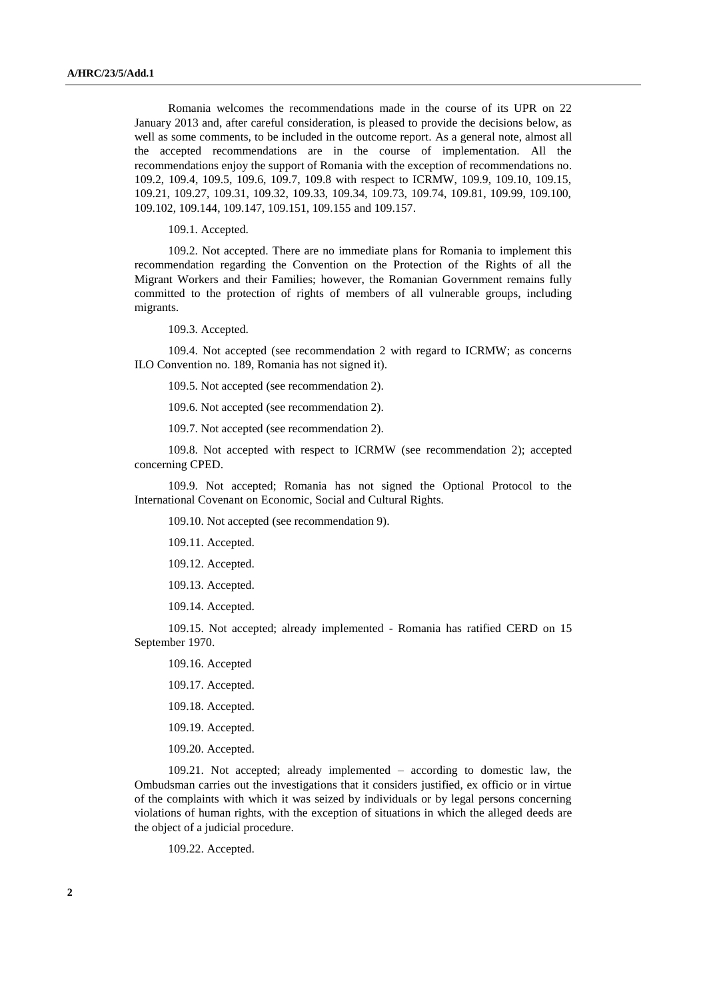Romania welcomes the recommendations made in the course of its UPR on 22 January 2013 and, after careful consideration, is pleased to provide the decisions below, as well as some comments, to be included in the outcome report. As a general note, almost all the accepted recommendations are in the course of implementation. All the recommendations enjoy the support of Romania with the exception of recommendations no. 109.2, 109.4, 109.5, 109.6, 109.7, 109.8 with respect to ICRMW, 109.9, 109.10, 109.15, 109.21, 109.27, 109.31, 109.32, 109.33, 109.34, 109.73, 109.74, 109.81, 109.99, 109.100, 109.102, 109.144, 109.147, 109.151, 109.155 and 109.157.

109.1. Accepted.

109.2. Not accepted. There are no immediate plans for Romania to implement this recommendation regarding the Convention on the Protection of the Rights of all the Migrant Workers and their Families; however, the Romanian Government remains fully committed to the protection of rights of members of all vulnerable groups, including migrants.

109.3. Accepted.

109.4. Not accepted (see recommendation 2 with regard to ICRMW; as concerns ILO Convention no. 189, Romania has not signed it).

109.5. Not accepted (see recommendation 2).

109.6. Not accepted (see recommendation 2).

109.7. Not accepted (see recommendation 2).

109.8. Not accepted with respect to ICRMW (see recommendation 2); accepted concerning CPED.

109.9. Not accepted; Romania has not signed the Optional Protocol to the International Covenant on Economic, Social and Cultural Rights.

109.10. Not accepted (see recommendation 9).

109.11. Accepted.

109.12. Accepted.

109.13. Accepted.

109.14. Accepted.

109.15. Not accepted; already implemented - Romania has ratified CERD on 15 September 1970.

109.16. Accepted

109.17. Accepted.

109.18. Accepted.

109.19. Accepted.

109.20. Accepted.

109.21. Not accepted; already implemented – according to domestic law, the Ombudsman carries out the investigations that it considers justified, ex officio or in virtue of the complaints with which it was seized by individuals or by legal persons concerning violations of human rights, with the exception of situations in which the alleged deeds are the object of a judicial procedure.

109.22. Accepted.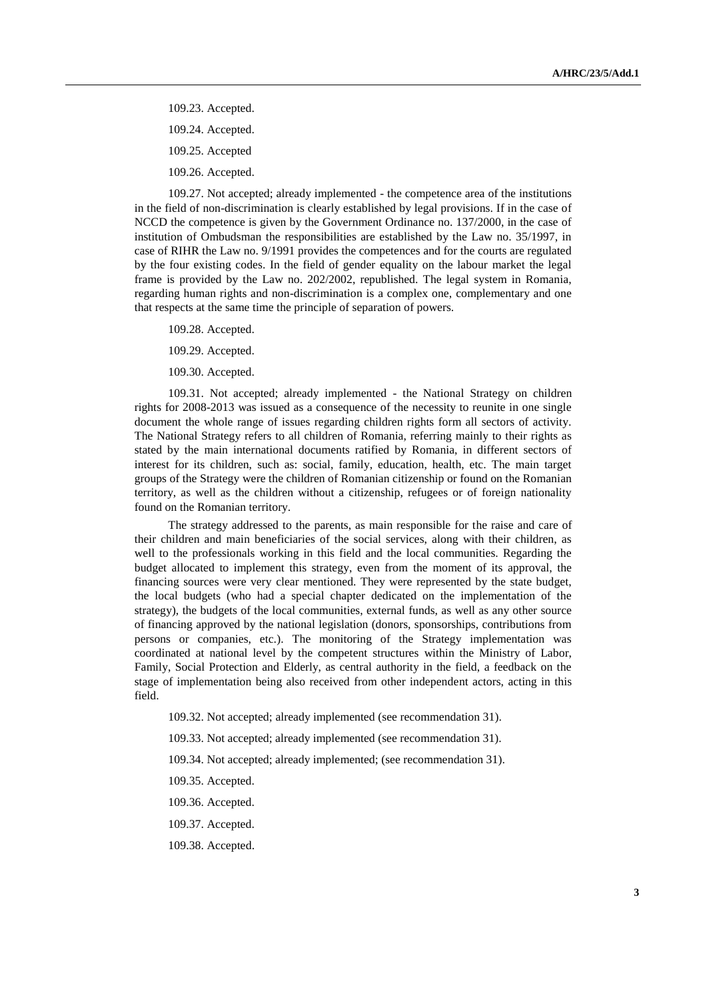109.23. Accepted.

109.24. Accepted.

109.25. Accepted

109.26. Accepted.

109.27. Not accepted; already implemented - the competence area of the institutions in the field of non-discrimination is clearly established by legal provisions. If in the case of NCCD the competence is given by the Government Ordinance no. 137/2000, in the case of institution of Ombudsman the responsibilities are established by the Law no. 35/1997, in case of RIHR the Law no. 9/1991 provides the competences and for the courts are regulated by the four existing codes. In the field of gender equality on the labour market the legal frame is provided by the Law no. 202/2002, republished. The legal system in Romania, regarding human rights and non-discrimination is a complex one, complementary and one that respects at the same time the principle of separation of powers.

109.28. Accepted.

109.29. Accepted.

109.30. Accepted.

109.31. Not accepted; already implemented - the National Strategy on children rights for 2008-2013 was issued as a consequence of the necessity to reunite in one single document the whole range of issues regarding children rights form all sectors of activity. The National Strategy refers to all children of Romania, referring mainly to their rights as stated by the main international documents ratified by Romania, in different sectors of interest for its children, such as: social, family, education, health, etc. The main target groups of the Strategy were the children of Romanian citizenship or found on the Romanian territory, as well as the children without a citizenship, refugees or of foreign nationality found on the Romanian territory.

The strategy addressed to the parents, as main responsible for the raise and care of their children and main beneficiaries of the social services, along with their children, as well to the professionals working in this field and the local communities. Regarding the budget allocated to implement this strategy, even from the moment of its approval, the financing sources were very clear mentioned. They were represented by the state budget, the local budgets (who had a special chapter dedicated on the implementation of the strategy), the budgets of the local communities, external funds, as well as any other source of financing approved by the national legislation (donors, sponsorships, contributions from persons or companies, etc.). The monitoring of the Strategy implementation was coordinated at national level by the competent structures within the Ministry of Labor, Family, Social Protection and Elderly, as central authority in the field, a feedback on the stage of implementation being also received from other independent actors, acting in this field.

109.32. Not accepted; already implemented (see recommendation 31).

109.33. Not accepted; already implemented (see recommendation 31).

109.34. Not accepted; already implemented; (see recommendation 31).

109.35. Accepted.

109.36. Accepted.

109.37. Accepted.

109.38. Accepted.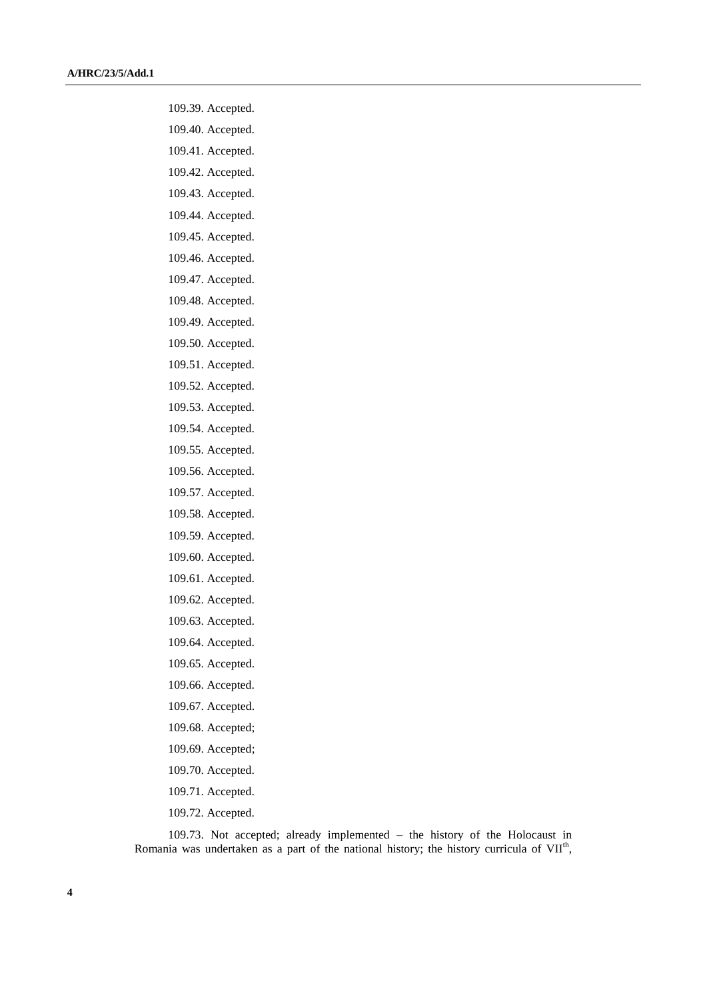- 109.39. Accepted.
- 109.40. Accepted.
- 109.41. Accepted.
- 109.42. Accepted.
- 109.43. Accepted.
- 109.44. Accepted.
- 109.45. Accepted.
- 109.46. Accepted.
- 109.47. Accepted.
- 109.48. Accepted.
- 109.49. Accepted.
- 109.50. Accepted.
- 109.51. Accepted.
- 109.52. Accepted.
- 109.53. Accepted.
- 109.54. Accepted.
- 109.55. Accepted.
- 109.56. Accepted.
- 109.57. Accepted.
- 109.58. Accepted.
- 109.59. Accepted.
- 109.60. Accepted.
- 109.61. Accepted.
- 109.62. Accepted.
- 109.63. Accepted.
- 109.64. Accepted.
- 109.65. Accepted.
- 109.66. Accepted.
- 109.67. Accepted.
- 109.68. Accepted;
- 109.69. Accepted;
- 109.70. Accepted.
- 109.71. Accepted.
- 109.72. Accepted.

109.73. Not accepted; already implemented – the history of the Holocaust in Romania was undertaken as a part of the national history; the history curricula of  $VII<sup>th</sup>$ ,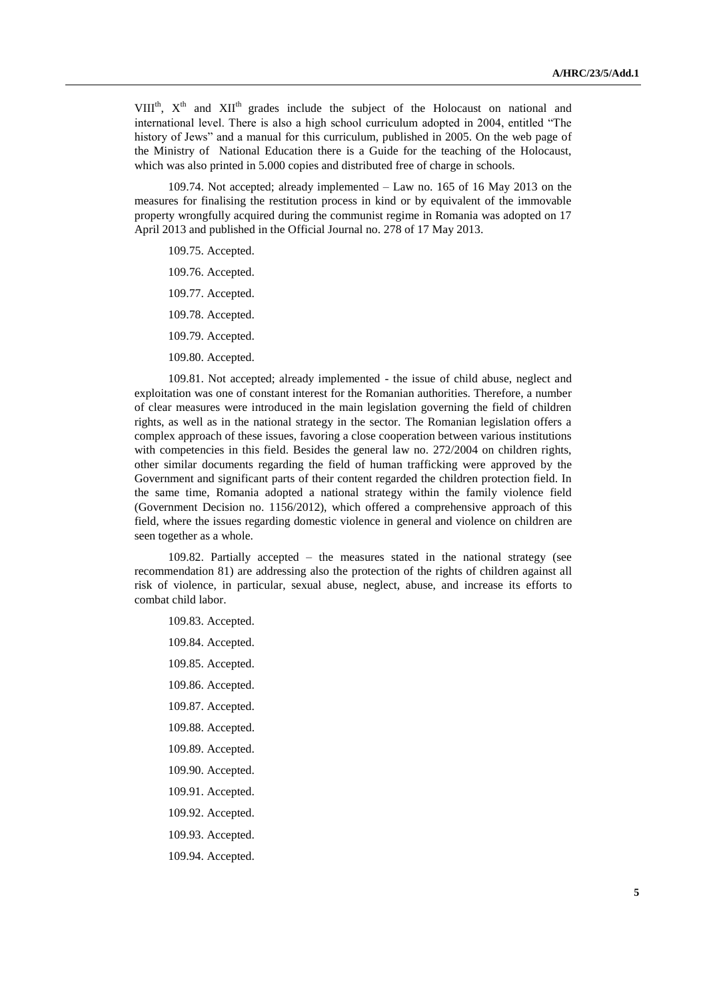VIII<sup>th</sup>,  $X^{th}$  and  $XII^{th}$  grades include the subject of the Holocaust on national and international level. There is also a high school curriculum adopted in 2004, entitled "The history of Jews" and a manual for this curriculum, published in 2005. On the web page of the Ministry of National Education there is a Guide for the teaching of the Holocaust, which was also printed in 5.000 copies and distributed free of charge in schools.

109.74. Not accepted; already implemented – Law no. 165 of 16 May 2013 on the measures for finalising the restitution process in kind or by equivalent of the immovable property wrongfully acquired during the communist regime in Romania was adopted on 17 April 2013 and published in the Official Journal no. 278 of 17 May 2013.

109.75. Accepted.

- 109.76. Accepted.
- 109.77. Accepted.
- 109.78. Accepted.
- 109.79. Accepted.
- 109.80. Accepted.

109.81. Not accepted; already implemented - the issue of child abuse, neglect and exploitation was one of constant interest for the Romanian authorities. Therefore, a number of clear measures were introduced in the main legislation governing the field of children rights, as well as in the national strategy in the sector. The Romanian legislation offers a complex approach of these issues, favoring a close cooperation between various institutions with competencies in this field. Besides the general law no. 272/2004 on children rights, other similar documents regarding the field of human trafficking were approved by the Government and significant parts of their content regarded the children protection field. In the same time, Romania adopted a national strategy within the family violence field (Government Decision no. 1156/2012), which offered a comprehensive approach of this field, where the issues regarding domestic violence in general and violence on children are seen together as a whole.

109.82. Partially accepted – the measures stated in the national strategy (see recommendation 81) are addressing also the protection of the rights of children against all risk of violence, in particular, sexual abuse, neglect, abuse, and increase its efforts to combat child labor.

109.83. Accepted. 109.84. Accepted. 109.85. Accepted. 109.86. Accepted. 109.87. Accepted. 109.88. Accepted. 109.89. Accepted. 109.90. Accepted. 109.91. Accepted. 109.92. Accepted. 109.93. Accepted. 109.94. Accepted.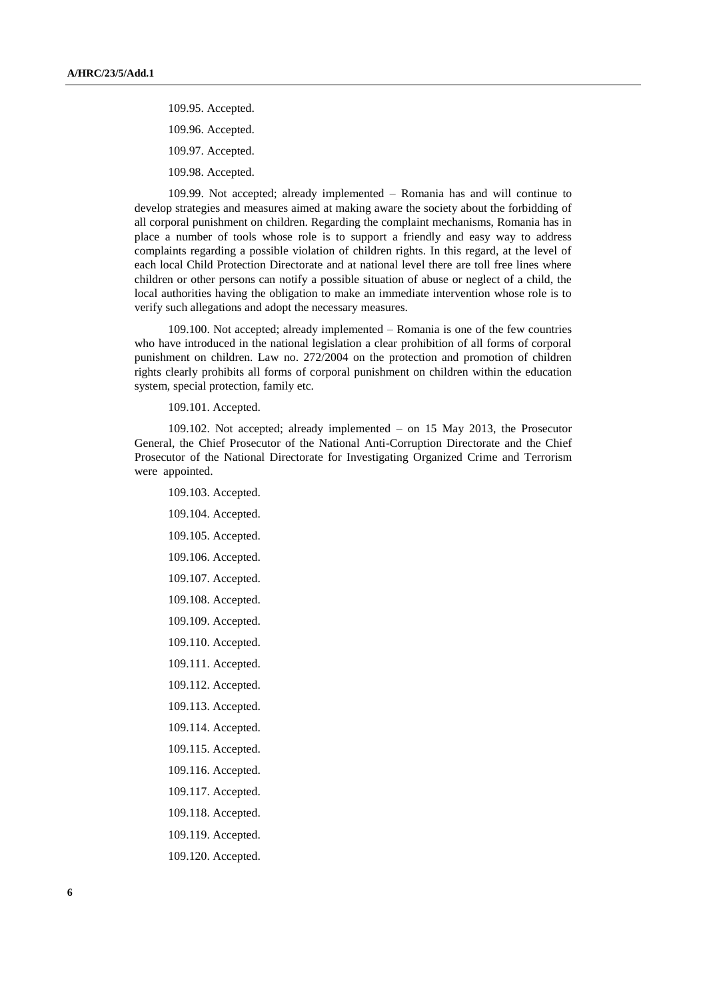109.95. Accepted.

109.96. Accepted.

109.97. Accepted.

109.98. Accepted.

109.99. Not accepted; already implemented – Romania has and will continue to develop strategies and measures aimed at making aware the society about the forbidding of all corporal punishment on children. Regarding the complaint mechanisms, Romania has in place a number of tools whose role is to support a friendly and easy way to address complaints regarding a possible violation of children rights. In this regard, at the level of each local Child Protection Directorate and at national level there are toll free lines where children or other persons can notify a possible situation of abuse or neglect of a child, the local authorities having the obligation to make an immediate intervention whose role is to verify such allegations and adopt the necessary measures.

109.100. Not accepted; already implemented – Romania is one of the few countries who have introduced in the national legislation a clear prohibition of all forms of corporal punishment on children. Law no. 272/2004 on the protection and promotion of children rights clearly prohibits all forms of corporal punishment on children within the education system, special protection, family etc.

109.101. Accepted.

109.102. Not accepted; already implemented – on 15 May 2013, the Prosecutor General, the Chief Prosecutor of the National Anti-Corruption Directorate and the Chief Prosecutor of the National Directorate for Investigating Organized Crime and Terrorism were appointed.

109.103. Accepted. 109.104. Accepted. 109.105. Accepted. 109.106. Accepted. 109.107. Accepted. 109.108. Accepted. 109.109. Accepted. 109.110. Accepted. 109.111. Accepted. 109.112. Accepted. 109.113. Accepted. 109.114. Accepted. 109.115. Accepted. 109.116. Accepted. 109.117. Accepted. 109.118. Accepted. 109.119. Accepted. 109.120. Accepted.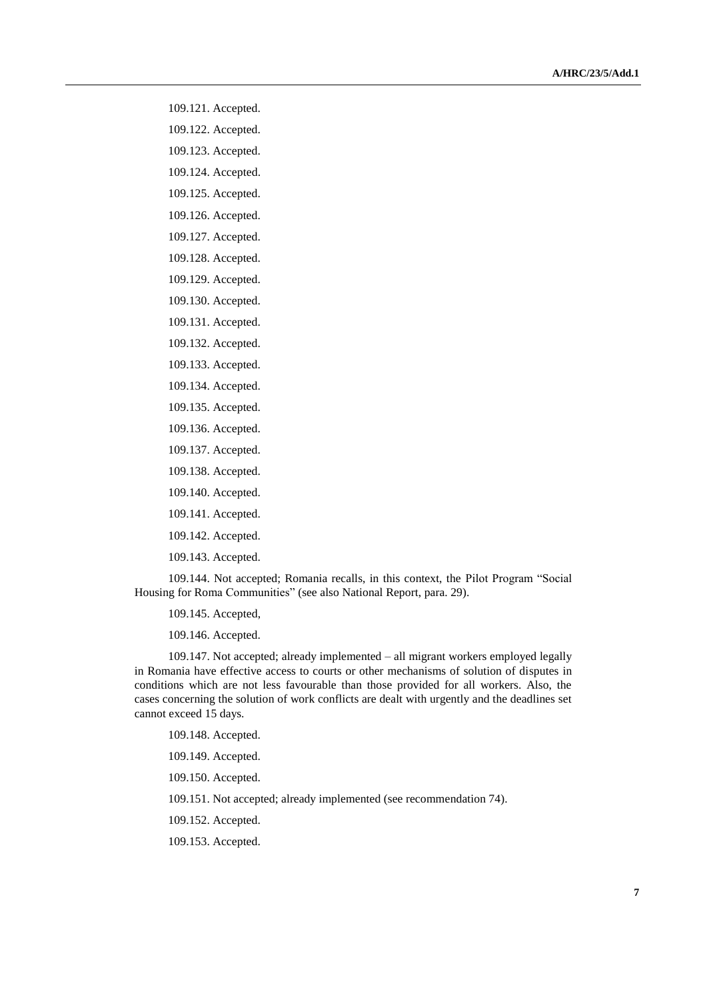- 109.121. Accepted.
- 109.122. Accepted.
- 109.123. Accepted.
- 109.124. Accepted.
- 109.125. Accepted.
- 109.126. Accepted.
- 109.127. Accepted.
- 109.128. Accepted.
- 109.129. Accepted.
- 109.130. Accepted.
- 109.131. Accepted.
- 109.132. Accepted.
- 109.133. Accepted.
- 109.134. Accepted.
- 109.135. Accepted.
- 109.136. Accepted.
- 109.137. Accepted.
- 109.138. Accepted.
- 109.140. Accepted.
- 109.141. Accepted.
- 109.142. Accepted.
- 109.143. Accepted.
- 109.144. Not accepted; Romania recalls, in this context, the Pilot Program "Social Housing for Roma Communities" (see also National Report, para. 29).
	- 109.145. Accepted,
	- 109.146. Accepted.
- 109.147. Not accepted; already implemented all migrant workers employed legally in Romania have effective access to courts or other mechanisms of solution of disputes in conditions which are not less favourable than those provided for all workers. Also, the cases concerning the solution of work conflicts are dealt with urgently and the deadlines set cannot exceed 15 days.
	- 109.148. Accepted.
	- 109.149. Accepted.
	- 109.150. Accepted.
	- 109.151. Not accepted; already implemented (see recommendation 74).
	- 109.152. Accepted.
	- 109.153. Accepted.